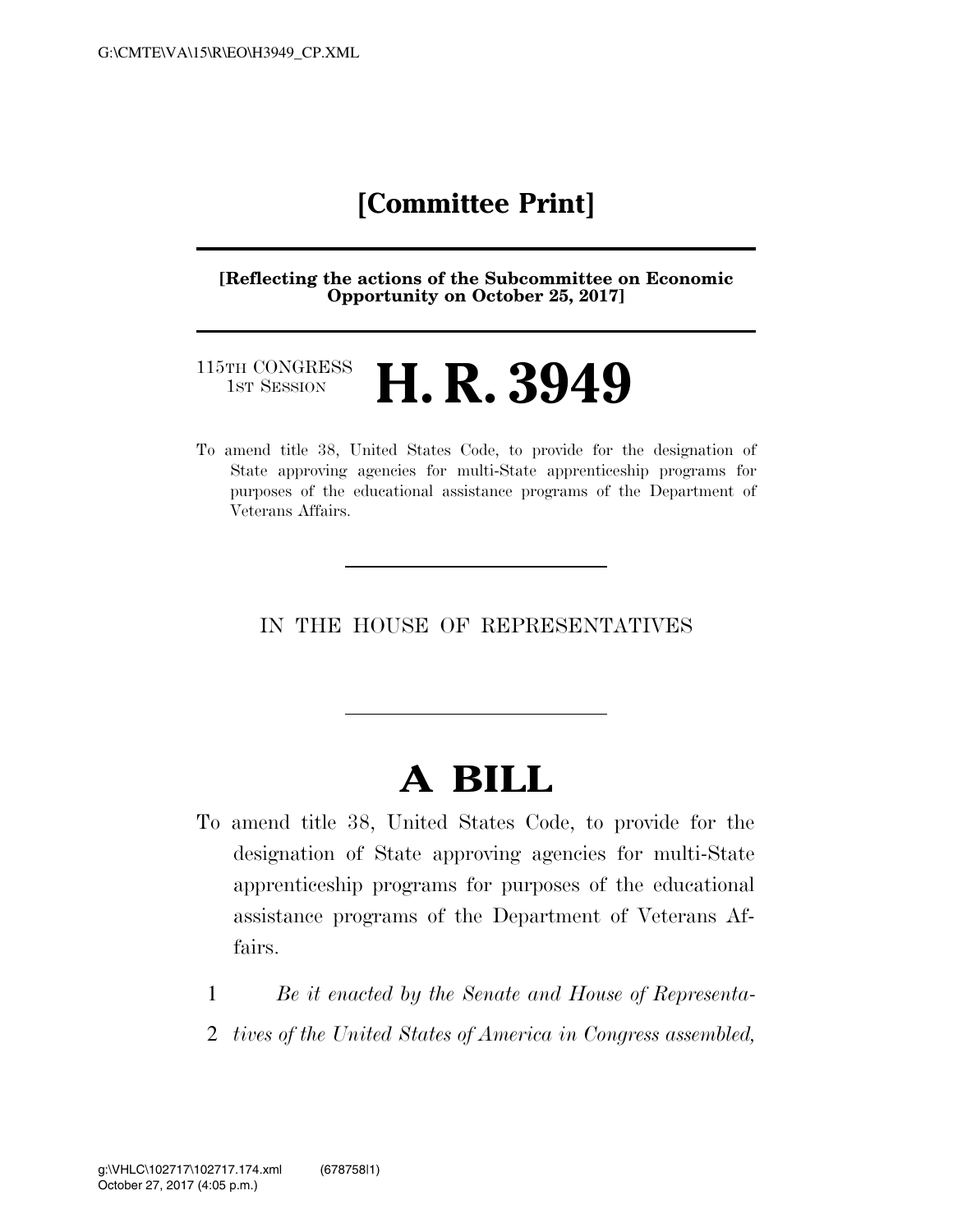### **[Committee Print]**

**[Reflecting the actions of the Subcommittee on Economic Opportunity on October 25, 2017]** 

#### 115TH CONGRESS<br>1st Session H. R. 3949

To amend title 38, United States Code, to provide for the designation of State approving agencies for multi-State apprenticeship programs for purposes of the educational assistance programs of the Department of Veterans Affairs.

IN THE HOUSE OF REPRESENTATIVES

# **A BILL**

- To amend title 38, United States Code, to provide for the designation of State approving agencies for multi-State apprenticeship programs for purposes of the educational assistance programs of the Department of Veterans Affairs.
	- 1 *Be it enacted by the Senate and House of Representa-*
	- 2 *tives of the United States of America in Congress assembled,*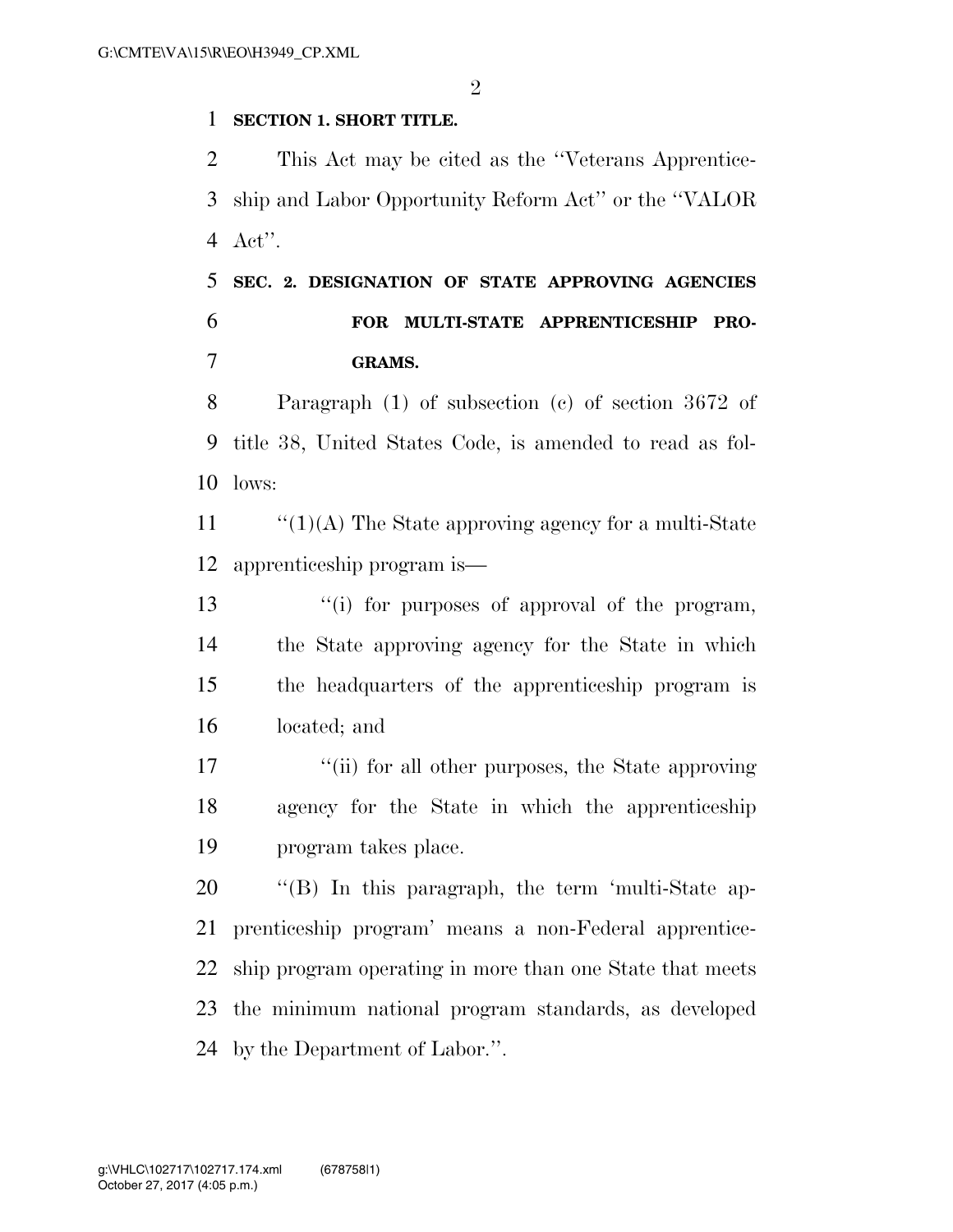#### **SECTION 1. SHORT TITLE.**

 This Act may be cited as the ''Veterans Apprentice- ship and Labor Opportunity Reform Act'' or the ''VALOR Act''.

 **SEC. 2. DESIGNATION OF STATE APPROVING AGENCIES FOR MULTI-STATE APPRENTICESHIP PRO-GRAMS.** 

 Paragraph (1) of subsection (c) of section 3672 of title 38, United States Code, is amended to read as fol-lows:

11  $\frac{1}{1}$  (1)(A) The State approving agency for a multi-State apprenticeship program is—

13 ''(i) for purposes of approval of the program, the State approving agency for the State in which the headquarters of the apprenticeship program is located; and

17 ''(ii) for all other purposes, the State approving agency for the State in which the apprenticeship program takes place.

 ''(B) In this paragraph, the term 'multi-State ap- prenticeship program' means a non-Federal apprentice- ship program operating in more than one State that meets the minimum national program standards, as developed by the Department of Labor.''.